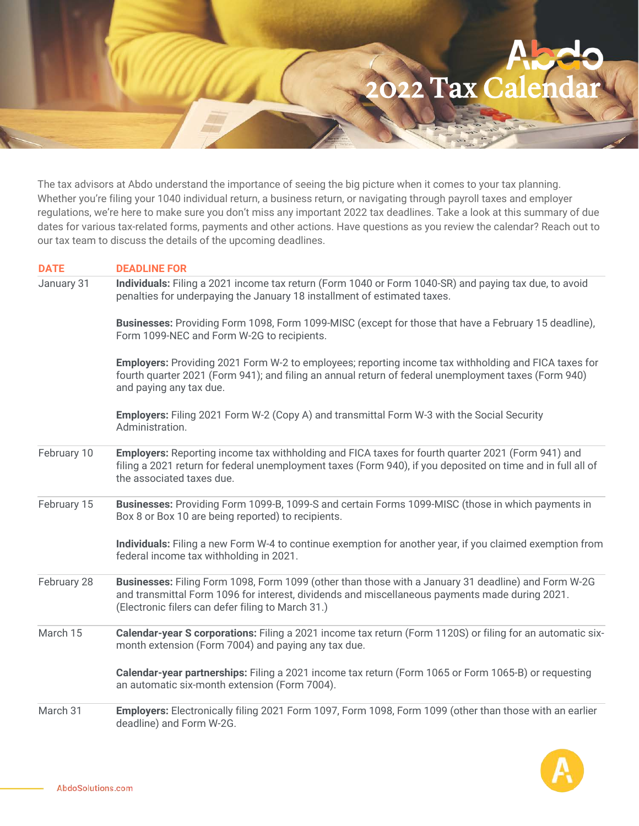022 Tax Calend

The tax advisors at Abdo understand the importance of seeing the big picture when it comes to your tax planning. Whether you're filing your 1040 individual return, a business return, or navigating through payroll taxes and employer regulations, we're here to make sure you don't miss any important 2022 tax deadlines. Take a look at this summary of due dates for various tax-related forms, payments and other actions. Have questions as you review the calendar? Reach out to our tax team to discuss the details of the upcoming deadlines.

| <b>DATE</b> | <b>DEADLINE FOR</b>                                                                                                                                                                                                                                        |
|-------------|------------------------------------------------------------------------------------------------------------------------------------------------------------------------------------------------------------------------------------------------------------|
| January 31  | Individuals: Filing a 2021 income tax return (Form 1040 or Form 1040-SR) and paying tax due, to avoid<br>penalties for underpaying the January 18 installment of estimated taxes.                                                                          |
|             | Businesses: Providing Form 1098, Form 1099-MISC (except for those that have a February 15 deadline),<br>Form 1099-NEC and Form W-2G to recipients.                                                                                                         |
|             | <b>Employers:</b> Providing 2021 Form W-2 to employees; reporting income tax withholding and FICA taxes for<br>fourth quarter 2021 (Form 941); and filing an annual return of federal unemployment taxes (Form 940)<br>and paying any tax due.             |
|             | Employers: Filing 2021 Form W-2 (Copy A) and transmittal Form W-3 with the Social Security<br>Administration.                                                                                                                                              |
| February 10 | Employers: Reporting income tax withholding and FICA taxes for fourth quarter 2021 (Form 941) and<br>filing a 2021 return for federal unemployment taxes (Form 940), if you deposited on time and in full all of<br>the associated taxes due.              |
| February 15 | Businesses: Providing Form 1099-B, 1099-S and certain Forms 1099-MISC (those in which payments in<br>Box 8 or Box 10 are being reported) to recipients.                                                                                                    |
|             | Individuals: Filing a new Form W-4 to continue exemption for another year, if you claimed exemption from<br>federal income tax withholding in 2021.                                                                                                        |
| February 28 | Businesses: Filing Form 1098, Form 1099 (other than those with a January 31 deadline) and Form W-2G<br>and transmittal Form 1096 for interest, dividends and miscellaneous payments made during 2021.<br>(Electronic filers can defer filing to March 31.) |
| March 15    | Calendar-year S corporations: Filing a 2021 income tax return (Form 1120S) or filing for an automatic six-<br>month extension (Form 7004) and paying any tax due.                                                                                          |
|             | Calendar-year partnerships: Filing a 2021 income tax return (Form 1065 or Form 1065-B) or requesting<br>an automatic six-month extension (Form 7004).                                                                                                      |
| March 31    | Employers: Electronically filing 2021 Form 1097, Form 1098, Form 1099 (other than those with an earlier<br>deadline) and Form W-2G.                                                                                                                        |

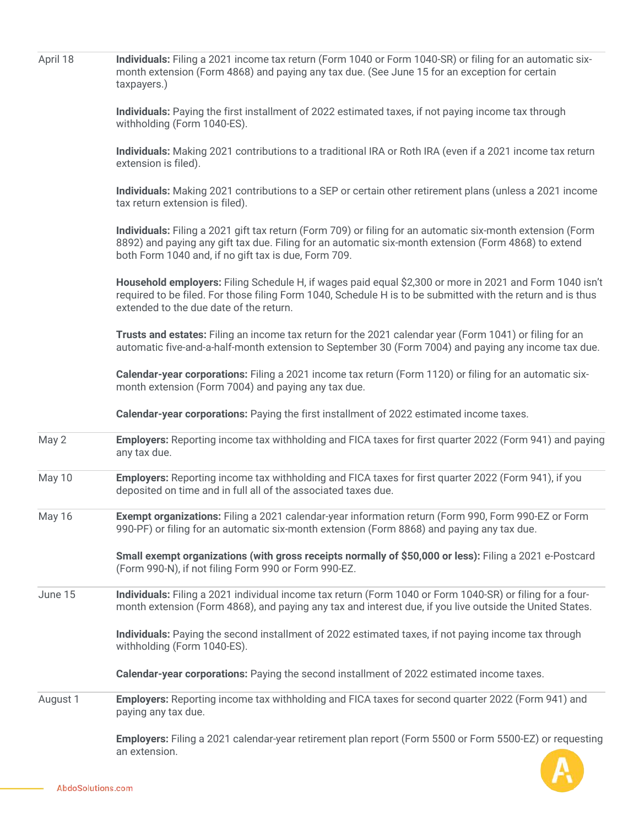| April 18 | Individuals: Filing a 2021 income tax return (Form 1040 or Form 1040-SR) or filing for an automatic six-<br>month extension (Form 4868) and paying any tax due. (See June 15 for an exception for certain<br>taxpayers.)                                                   |  |
|----------|----------------------------------------------------------------------------------------------------------------------------------------------------------------------------------------------------------------------------------------------------------------------------|--|
|          | Individuals: Paying the first installment of 2022 estimated taxes, if not paying income tax through<br>withholding (Form 1040-ES).                                                                                                                                         |  |
|          | Individuals: Making 2021 contributions to a traditional IRA or Roth IRA (even if a 2021 income tax return<br>extension is filed).                                                                                                                                          |  |
|          | Individuals: Making 2021 contributions to a SEP or certain other retirement plans (unless a 2021 income<br>tax return extension is filed).                                                                                                                                 |  |
|          | Individuals: Filing a 2021 gift tax return (Form 709) or filing for an automatic six-month extension (Form<br>8892) and paying any gift tax due. Filing for an automatic six-month extension (Form 4868) to extend<br>both Form 1040 and, if no gift tax is due, Form 709. |  |
|          | Household employers: Filing Schedule H, if wages paid equal \$2,300 or more in 2021 and Form 1040 isn't<br>required to be filed. For those filing Form 1040, Schedule H is to be submitted with the return and is thus<br>extended to the due date of the return.          |  |
|          | Trusts and estates: Filing an income tax return for the 2021 calendar year (Form 1041) or filing for an<br>automatic five-and-a-half-month extension to September 30 (Form 7004) and paying any income tax due.                                                            |  |
|          | Calendar-year corporations: Filing a 2021 income tax return (Form 1120) or filing for an automatic six-<br>month extension (Form 7004) and paying any tax due.                                                                                                             |  |
|          | Calendar-year corporations: Paying the first installment of 2022 estimated income taxes.                                                                                                                                                                                   |  |
| May 2    | Employers: Reporting income tax withholding and FICA taxes for first quarter 2022 (Form 941) and paying<br>any tax due.                                                                                                                                                    |  |
| May 10   | Employers: Reporting income tax withholding and FICA taxes for first quarter 2022 (Form 941), if you<br>deposited on time and in full all of the associated taxes due.                                                                                                     |  |
| May 16   | Exempt organizations: Filing a 2021 calendar-year information return (Form 990, Form 990-EZ or Form<br>990-PF) or filing for an automatic six-month extension (Form 8868) and paying any tax due.                                                                          |  |
|          | Small exempt organizations (with gross receipts normally of \$50,000 or less): Filing a 2021 e-Postcard<br>(Form 990-N), if not filing Form 990 or Form 990-EZ.                                                                                                            |  |
| June 15  | Individuals: Filing a 2021 individual income tax return (Form 1040 or Form 1040-SR) or filing for a four-<br>month extension (Form 4868), and paying any tax and interest due, if you live outside the United States.                                                      |  |
|          | Individuals: Paying the second installment of 2022 estimated taxes, if not paying income tax through<br>withholding (Form 1040-ES).                                                                                                                                        |  |
|          | Calendar-year corporations: Paying the second installment of 2022 estimated income taxes.                                                                                                                                                                                  |  |
| August 1 | Employers: Reporting income tax withholding and FICA taxes for second quarter 2022 (Form 941) and<br>paying any tax due.                                                                                                                                                   |  |
|          | Employers: Filing a 2021 calendar-year retirement plan report (Form 5500 or Form 5500-EZ) or requesting<br>an extension.                                                                                                                                                   |  |